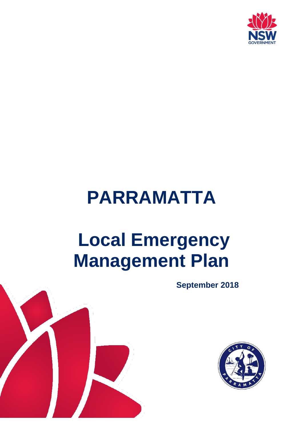

# **PARRAMATTA**

# **Local Emergency Management Plan**

**September 2018**



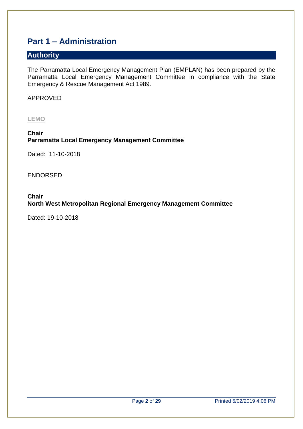# <span id="page-1-0"></span>**Part 1 – Administration**

# <span id="page-1-1"></span>**Authority**

The Parramatta Local Emergency Management Plan (EMPLAN) has been prepared by the Parramatta Local Emergency Management Committee in compliance with the State Emergency & Rescue Management Act 1989.

APPROVED

**LEMO**

**Chair Parramatta Local Emergency Management Committee**

Dated: 11-10-2018

ENDORSED

**Chair North West Metropolitan Regional Emergency Management Committee**

Dated: 19-10-2018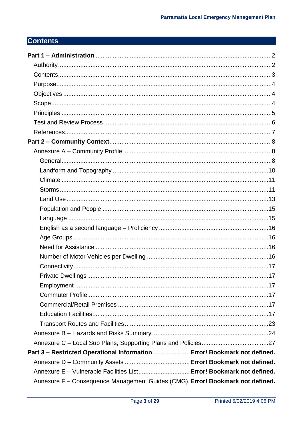# <span id="page-2-0"></span>**Contents**

| Part 3 - Restricted Operational Information Error! Bookmark not defined.       |  |
|--------------------------------------------------------------------------------|--|
|                                                                                |  |
| Annexure E - Vulnerable Facilities List Error! Bookmark not defined.           |  |
| Annexure F - Consequence Management Guides (CMG). Error! Bookmark not defined. |  |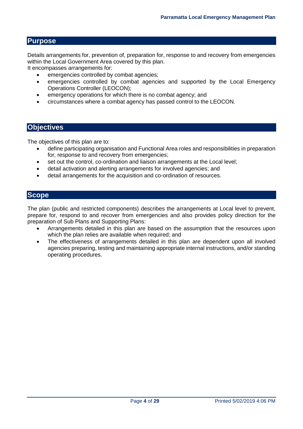## <span id="page-3-0"></span>**Purpose**

Details arrangements for, prevention of, preparation for, response to and recovery from emergencies within the Local Government Area covered by this plan.

It encompasses arrangements for:

- emergencies controlled by combat agencies;
- emergencies controlled by combat agencies and supported by the Local Emergency Operations Controller (LEOCON);
- emergency operations for which there is no combat agency; and
- circumstances where a combat agency has passed control to the LEOCON.

#### <span id="page-3-1"></span>**Objectives**

The objectives of this plan are to:

- define participating organisation and Functional Area roles and responsibilities in preparation for, response to and recovery from emergencies;
- set out the control, co-ordination and liaison arrangements at the Local level;
- detail activation and alerting arrangements for involved agencies; and
- detail arrangements for the acquisition and co-ordination of resources.

#### <span id="page-3-2"></span>**Scope**

The plan (public and restricted components) describes the arrangements at Local level to prevent, prepare for, respond to and recover from emergencies and also provides policy direction for the preparation of Sub Plans and Supporting Plans:

- Arrangements detailed in this plan are based on the assumption that the resources upon which the plan relies are available when required; and
- The effectiveness of arrangements detailed in this plan are dependent upon all involved agencies preparing, testing and maintaining appropriate internal instructions, and/or standing operating procedures.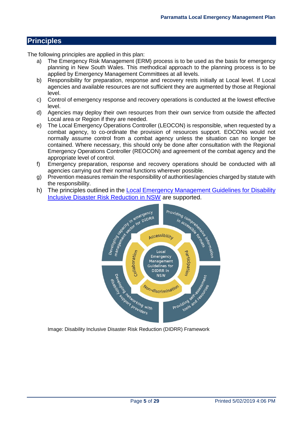# <span id="page-4-0"></span>**Principles**

The following principles are applied in this plan:

- a) The Emergency Risk Management (ERM) process is to be used as the basis for emergency planning in New South Wales. This methodical approach to the planning process is to be applied by Emergency Management Committees at all levels.
- b) Responsibility for preparation, response and recovery rests initially at Local level. If Local agencies and available resources are not sufficient they are augmented by those at Regional level.
- c) Control of emergency response and recovery operations is conducted at the lowest effective level.
- d) Agencies may deploy their own resources from their own service from outside the affected Local area or Region if they are needed.
- e) The Local Emergency Operations Controller (LEOCON) is responsible, when requested by a combat agency, to co-ordinate the provision of resources support. EOCONs would not normally assume control from a combat agency unless the situation can no longer be contained. Where necessary, this should only be done after consultation with the Regional Emergency Operations Controller (REOCON) and agreement of the combat agency and the appropriate level of control.
- f) Emergency preparation, response and recovery operations should be conducted with all agencies carrying out their normal functions wherever possible.
- g) Prevention measures remain the responsibility of authorities/agencies charged by statute with the responsibility.
- 



Image: Disability Inclusive Disaster Risk Reduction (DIDRR) Framework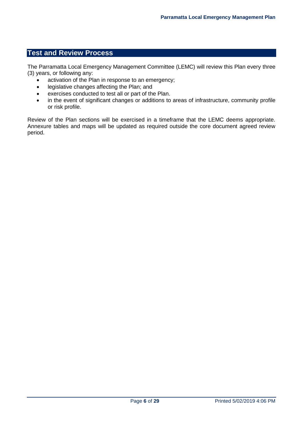# <span id="page-5-0"></span>**Test and Review Process**

The Parramatta Local Emergency Management Committee (LEMC) will review this Plan every three (3) years, or following any:

- activation of the Plan in response to an emergency;
- legislative changes affecting the Plan: and
- exercises conducted to test all or part of the Plan.
- in the event of significant changes or additions to areas of infrastructure, community profile or risk profile.

Review of the Plan sections will be exercised in a timeframe that the LEMC deems appropriate. Annexure tables and maps will be updated as required outside the core document agreed review period.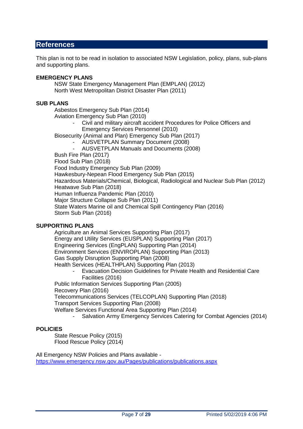# <span id="page-6-0"></span>**References**

This plan is not to be read in isolation to associated NSW Legislation, policy, plans, sub-plans and supporting plans.

#### **EMERGENCY PLANS**

NSW State Emergency Management Plan (EMPLAN) (2012) North West Metropolitan District Disaster Plan (2011)

#### **SUB PLANS**

Asbestos Emergency Sub Plan (2014)

Aviation Emergency Sub Plan (2010)

- Civil and military aircraft accident Procedures for Police Officers and Emergency Services Personnel (2010)

Biosecurity (Animal and Plan) Emergency Sub Plan (2017)

- AUSVETPLAN Summary Document (2008)
- AUSVETPLAN Manuals and Documents (2008)

Bush Fire Plan (2017)

Flood Sub Plan (2018)

Food Industry Emergency Sub Plan (2009)

Hawkesbury-Nepean Flood Emergency Sub Plan (2015)

Hazardous Materials/Chemical, Biological, Radiological and Nuclear Sub Plan (2012) Heatwave Sub Plan (2018)

Human Influenza Pandemic Plan (2010)

Major Structure Collapse Sub Plan (2011)

State Waters Marine oil and Chemical Spill Contingency Plan (2016) Storm Sub Plan (2016)

#### **SUPPORTING PLANS**

Agriculture an Animal Services Supporting Plan (2017) Energy and Utility Services (EUSPLAN) Supporting Plan (2017) Engineering Services (EngPLAN) Supporting Plan (2014) Environment Services (ENVIROPLAN) Supporting Plan (2013) Gas Supply Disruption Supporting Plan (2008) Health Services (HEALTHPLAN) Supporting Plan (2013)

- Evacuation Decision Guidelines for Private Health and Residential Care Facilities (2016)

Public Information Services Supporting Plan (2005)

Recovery Plan (2016)

Telecommunications Services (TELCOPLAN) Supporting Plan (2018)

Transport Services Supporting Plan (2008)

Welfare Services Functional Area Supporting Plan (2014)

Salvation Army Emergency Services Catering for Combat Agencies (2014)

#### **POLICIES**

State Rescue Policy (2015) Flood Rescue Policy (2014)

All Emergency NSW Policies and Plans available <https://www.emergency.nsw.gov.au/Pages/publications/publications.aspx>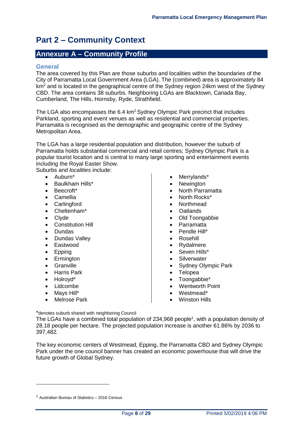# <span id="page-7-0"></span>**Part 2 – Community Context**

# <span id="page-7-1"></span>**Annexure A – Community Profile**

#### <span id="page-7-2"></span>**General**

The area covered by this Plan are those suburbs and localities within the boundaries of the City of Parramatta Local Government Area (LGA). The (combined) area is approximately 84 km<sup>2</sup> and is located in the geographical centre of the Sydney region 24km west of the Sydney CBD. The area contains 38 suburbs. Neighboring LGAs are Blacktown, Canada Bay, Cumberland, The Hills, Hornsby, Ryde, Strathfield.

The LGA also encompasses the  $6.4 \text{ km}^2$  Sydney Olympic Park precinct that includes Parkland, sporting and event venues as well as residential and commercial properties. Parramatta is recognised as the demographic and geographic centre of the Sydney Metropolitan Area.

The LGA has a large residential population and distribution, however the suburb of Parramatta holds substantial commercial and retail centres; Sydney Olympic Park is a popular tourist location and is central to many large sporting and entertainment events including the Royal Easter Show.

Suburbs and *localities* include:

- $\bullet$  Auburn\*
- Baulkham Hills\*
- Beecroft\*
- Camellia
- Carlingford
- Cheltenham\*
- Clyde
- Constitution Hill
- Dundas
- Dundas Valley
- Eastwood
- Epping
- Ermington
- **•** Granville
- Harris Park
- Holrovd\*

 $\overline{a}$ 

- Lidcombe
- Mays Hill\*
- Melrose Park
- Merrylands\*
- **Newington**
- North Parramatta
- North Rocks\*
- Northmead
- Oatlands
- Old Toongabbie
- Parramatta
- Pendle Hill\*
- Rosehill
- Rydalmere
- Seven Hills\*
- **Silverwater**
- Sydney Olympic Park
- **Telopea**
- Toongabbie\*
- Wentworth Point
- Westmead\*
- Winston Hills

\*denotes suburb shared with neighboring Council

The LGAs have a combined total population of 234,968 people<sup>1</sup>, with a population density of 28.18 people per hectare. The projected population increase is another 61.86% by 2036 to 397,482.

The key economic centers of Westmead, Epping, the Parramatta CBD and Sydney Olympic Park under the one council banner has created an economic powerhouse that will drive the future growth of Global Sydney.

 $1$  Australian Bureau of Statistics  $-2016$  Census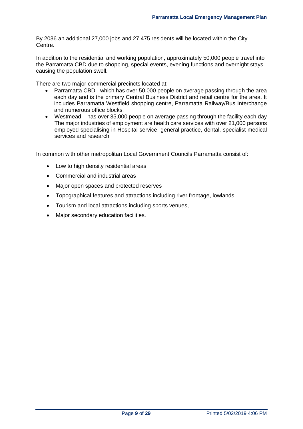By 2036 an additional 27,000 jobs and 27,475 residents will be located within the City Centre.

In addition to the residential and working population, approximately 50,000 people travel into the Parramatta CBD due to shopping, special events, evening functions and overnight stays causing the population swell.

There are two major commercial precincts located at:

- Parramatta CBD which has over 50,000 people on average passing through the area each day and is the primary Central Business District and retail centre for the area. It includes Parramatta Westfield shopping centre, Parramatta Railway/Bus Interchange and numerous office blocks.
- Westmead has over 35,000 people on average passing through the facility each day The major industries of employment are health care services with over 21,000 persons employed specialising in Hospital service, general practice, dental, specialist medical services and research.

In common with other metropolitan Local Government Councils Parramatta consist of:

- Low to high density residential areas
- Commercial and industrial areas
- Major open spaces and protected reserves
- Topographical features and attractions including river frontage, lowlands
- Tourism and local attractions including sports venues,
- Major secondary education facilities.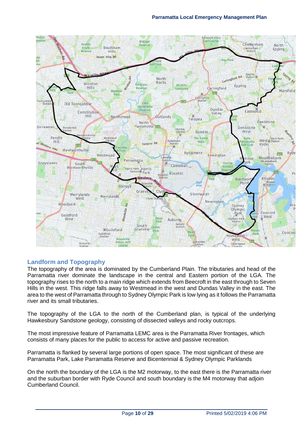

## <span id="page-9-0"></span>**Landform and Topography**

The topography of the area is dominated by the Cumberland Plain. The tributaries and head of the Parramatta river dominate the landscape in the central and Eastern portion of the LGA. The topography rises to the north to a main ridge which extends from Beecroft in the east through to Seven Hills in the west. This ridge falls away to Westmead in the west and Dundas Valley in the east. The area to the west of Parramatta through to Sydney Olympic Park is low lying as it follows the Parramatta river and its small tributaries.

The topography of the LGA to the north of the Cumberland plan, is typical of the underlying Hawkesbury Sandstone geology, consisting of dissected valleys and rocky outcrops.

The most impressive feature of Parramatta LEMC area is the Parramatta River frontages, which consists of many places for the public to access for active and passive recreation.

Parramatta is flanked by several large portions of open space. The most significant of these are Parramatta Park, Lake Parramatta Reserve and Bicentennial & Sydney Olympic Parklands

On the north the boundary of the LGA is the M2 motorway, to the east there is the Parramatta river and the suburban border with Ryde Council and south boundary is the M4 motorway that adjoin Cumberland Council.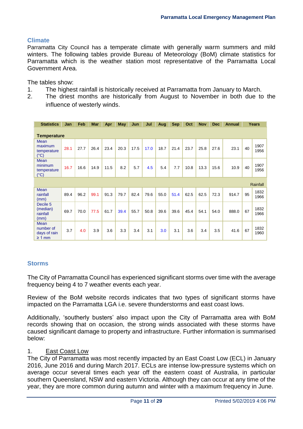# <span id="page-10-0"></span>**Climate**

Parramatta City Council has a temperate climate with generally warm summers and mild winters. The following tables provide Bureau of Meteorology (BoM) climate statistics for Parramatta which is the weather station most representative of the Parramatta Local Government Area.

The tables show:

- 1. The highest rainfall is historically received at Parramatta from January to March.
- 2. The driest months are historically from August to November in both due to the influence of westerly winds.

| <b>Statistics</b>                                       | Jan  | Feb  | <b>Mar</b> | Apr  | <b>May</b> | Jun  | Jul  | Aug  | <b>Sep</b> | Oct  | <b>Nov</b> | <b>Dec</b> | <b>Annual</b> |    | Years        |
|---------------------------------------------------------|------|------|------------|------|------------|------|------|------|------------|------|------------|------------|---------------|----|--------------|
| <b>Temperature</b>                                      |      |      |            |      |            |      |      |      |            |      |            |            |               |    |              |
| <b>Mean</b><br>maximum<br>temperature<br>$(^{\circ}C)$  | 28.1 | 27.7 | 26.4       | 23.4 | 20.3       | 17.5 | 17.0 | 18.7 | 21.4       | 23.7 | 25.8       | 27.6       | 23.1          | 40 | 1907<br>1956 |
| <b>Mean</b><br>minimum<br>temperature<br>$(^{\circ}C)$  | 16.7 | 16.6 | 14.9       | 11.5 | 8.2        | 5.7  | 4.5  | 5.4  | 7.7        | 10.8 | 13.3       | 15.6       | 10.9          | 40 | 1907<br>1956 |
|                                                         |      |      |            |      |            |      |      |      |            |      |            |            |               |    | Rainfall     |
| <b>Mean</b><br>rainfall<br>(mm)                         | 89.4 | 96.2 | 99.1       | 91.3 | 79.7       | 82.4 | 79.6 | 55.0 | 51.4       | 62.5 | 62.5       | 72.3       | 914.7         | 95 | 1832<br>1966 |
| Decile <sub>5</sub><br>(median)<br>rainfall<br>(mm)     | 69.7 | 70.0 | 77.5       | 61.7 | 39.4       | 55.7 | 50.8 | 39.6 | 39.6       | 45.4 | 54.1       | 54.0       | 888.0         | 67 | 1832<br>1966 |
| <b>Mean</b><br>number of<br>days of rain<br>$\geq 1$ mm | 3.7  | 4.0  | 3.9        | 3.6  | 3.3        | 3.4  | 3.1  | 3.0  | 3.1        | 3.6  | 3.4        | 3.5        | 41.6          | 67 | 1832<br>1960 |

# <span id="page-10-1"></span>**Storms**

The City of Parramatta Council has experienced significant storms over time with the average frequency being 4 to 7 weather events each year.

Review of the BoM website records indicates that two types of significant storms have impacted on the Parramatta LGA i.e. severe thunderstorms and east coast lows.

Additionally, 'southerly busters' also impact upon the City of Parramatta area with BoM records showing that on occasion, the strong winds associated with these storms have caused significant damage to property and infrastructure. Further information is summarised below:

## 1. East Coast Low

The City of Parramatta was most recently impacted by an East Coast Low (ECL) in January 2016, June 2016 and during March 2017. ECLs are intense low-pressure systems which on average occur several times each year off the eastern coast of Australia, in particular southern Queensland, NSW and eastern Victoria. Although they can occur at any time of the year, they are more common during autumn and winter with a maximum frequency in June.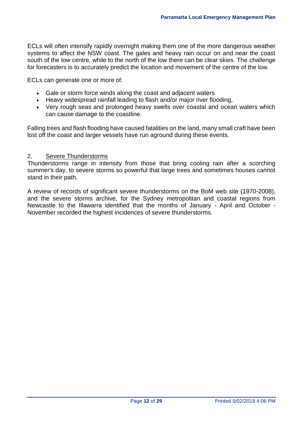ECLs will often intensify rapidly overnight making them one of the more dangerous weather systems to affect the NSW coast. The gales and heavy rain occur on and near the coast south of the low centre, while to the north of the low there can be clear skies. The challenge for forecasters is to accurately predict the location and movement of the centre of the low.

ECLs can generate one or more of:

- Gale or storm force winds along the coast and adjacent waters
- Heavy widespread rainfall leading to flash and/or major river flooding,
- Very rough seas and prolonged heavy swells over coastal and ocean waters which can cause damage to the coastline.

Falling trees and flash flooding have caused fatalities on the land, many small craft have been lost off the coast and larger vessels have run aground during these events.

#### 2. Severe Thunderstorms

Thunderstorms range in intensity from those that bring cooling rain after a scorching summer's day, to severe storms so powerful that large trees and sometimes houses cannot stand in their path.

A review of records of significant severe thunderstorms on the BoM web site (1970-2008), and the severe storms archive, for the Sydney metropolitan and coastal regions from Newcastle to the Illawarra identified that the months of January - April and October - November recorded the highest incidences of severe thunderstorms.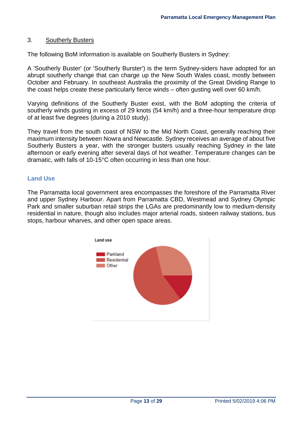## 3. Southerly Busters

The following BoM information is available on Southerly Busters in Sydney:

A 'Southerly Buster' (or 'Southerly Burster') is the term Sydney-siders have adopted for an abrupt southerly change that can charge up the New South Wales coast, mostly between October and February. In southeast Australia the proximity of the Great Dividing Range to the coast helps create these particularly fierce winds – often gusting well over 60 km/h.

Varying definitions of the Southerly Buster exist, with the BoM adopting the criteria of southerly winds gusting in excess of 29 knots (54 km/h) and a three-hour temperature drop of at least five degrees (during a 2010 study).

They travel from the south coast of NSW to the Mid North Coast, generally reaching their maximum intensity between Nowra and Newcastle. Sydney receives an average of about five Southerly Busters a year, with the stronger busters usually reaching Sydney in the late afternoon or early evening after several days of hot weather. Temperature changes can be dramatic, with falls of 10-15°C often occurring in less than one hour.

## <span id="page-12-0"></span>**Land Use**

The Parramatta local government area encompasses the foreshore of the Parramatta River and upper Sydney Harbour. Apart from Parramatta CBD, Westmead and Sydney Olympic Park and smaller suburban retail strips the LGAs are predominantly low to medium-density residential in nature, though also includes major arterial roads, sixteen railway stations, bus stops, harbour wharves, and other open space areas.

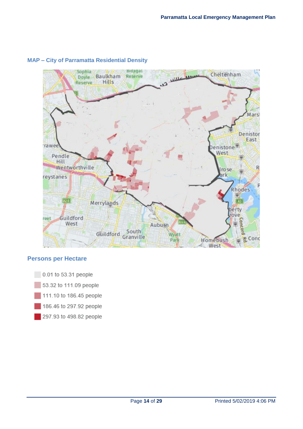

## **MAP – City of Parramatta Residential Density**

#### **Persons per Hectare**

0.01 to 53.31 people 53.32 to 111.09 people 111.10 to 186.45 people 186.46 to 297.92 people 297.93 to 498.82 people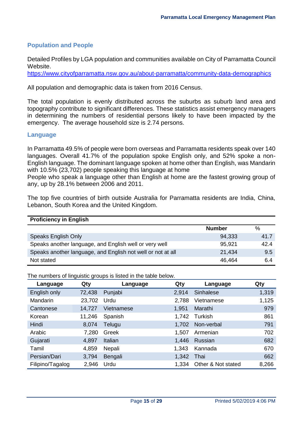# <span id="page-14-0"></span>**Population and People**

Detailed Profiles by LGA population and communities available on City of Parramatta Council Website.

<https://www.cityofparramatta.nsw.gov.au/about-parramatta/community-data-demographics>

All population and demographic data is taken from 2016 Census.

The total population is evenly distributed across the suburbs as suburb land area and topography contribute to significant differences. These statistics assist emergency managers in determining the numbers of residential persons likely to have been impacted by the emergency. The average household size is 2.74 persons.

#### <span id="page-14-1"></span>**Language**

In Parramatta 49.5% of people were born overseas and Parramatta residents speak over 140 languages. Overall 41.7% of the population spoke English only, and 52% spoke a non-English language. The dominant language spoken at home other than English, was Mandarin with 10.5% (23,702) people speaking this language at home

People who speak a language other than English at home are the fastest growing group of any, up by 28.1% between 2006 and 2011.

The top five countries of birth outside Australia for Parramatta residents are India, China, Lebanon, South Korea and the United Kingdom.

| <b>Proficiency in English</b>                               |               |      |
|-------------------------------------------------------------|---------------|------|
|                                                             | <b>Number</b> | %    |
| <b>Speaks English Only</b>                                  | 94,333        | 41.7 |
| Speaks another language, and English well or very well      | 95,921        | 42.4 |
| Speaks another language, and English not well or not at all | 21,434        | 9.5  |
| Not stated                                                  | 46,464        | 6.4  |

The numbers of linguistic groups is listed in the table below.

| Language         | ------ 9.00pm<br>Qty | Language   | Qty   | Language           | Qty   |
|------------------|----------------------|------------|-------|--------------------|-------|
| English only     | 72,438               | Punjabi    | 2,914 | Sinhalese          | 1,319 |
| Mandarin         | 23,702               | Urdu       | 2,788 | Vietnamese         | 1,125 |
| Cantonese        | 14,727               | Vietnamese | 1,951 | Marathi            | 979   |
| Korean           | 11,246               | Spanish    | 1.742 | Turkish            | 861   |
| Hindi            | 8,074                | Telugu     | 1,702 | Non-verbal         | 791   |
| Arabic           | 7,280                | Greek      | 1,507 | Armenian           | 702   |
| Gujarati         | 4,897                | Italian    | 1,446 | Russian            | 682   |
| Tamil            | 4,859                | Nepali     | 1,343 | Kannada            | 670   |
| Persian/Dari     | 3,794                | Bengali    | 1,342 | Thai               | 662   |
| Filipino/Tagalog | 2,946                | Urdu       | 1,334 | Other & Not stated | 8,266 |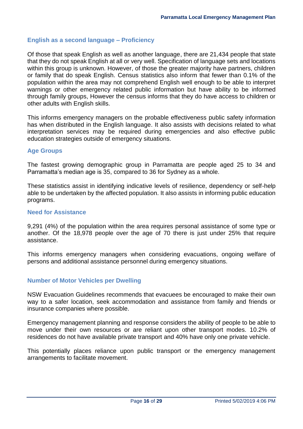# <span id="page-15-0"></span>**English as a second language – Proficiency**

Of those that speak English as well as another language, there are 21,434 people that state that they do not speak English at all or very well. Specification of language sets and locations within this group is unknown. However, of those the greater majority have partners, children or family that do speak English. Census statistics also inform that fewer than 0.1% of the population within the area may not comprehend English well enough to be able to interpret warnings or other emergency related public information but have ability to be informed through family groups, However the census informs that they do have access to children or other adults with English skills.

This informs emergency managers on the probable effectiveness public safety information has when distributed in the English language. It also assists with decisions related to what interpretation services may be required during emergencies and also effective public education strategies outside of emergency situations.

#### <span id="page-15-1"></span>**Age Groups**

The fastest growing demographic group in Parramatta are people aged 25 to 34 and Parramatta's median age is 35, compared to 36 for Sydney as a whole.

These statistics assist in identifying indicative levels of resilience, dependency or self-help able to be undertaken by the affected population. It also assists in informing public education programs.

#### <span id="page-15-2"></span>**Need for Assistance**

9,291 (4%) of the population within the area requires personal assistance of some type or another. Of the 18,978 people over the age of 70 there is just under 25% that require assistance.

This informs emergency managers when considering evacuations, ongoing welfare of persons and additional assistance personnel during emergency situations.

## <span id="page-15-3"></span>**Number of Motor Vehicles per Dwelling**

NSW Evacuation Guidelines recommends that evacuees be encouraged to make their own way to a safer location, seek accommodation and assistance from family and friends or insurance companies where possible.

Emergency management planning and response considers the ability of people to be able to move under their own resources or are reliant upon other transport modes. 10.2% of residences do not have available private transport and 40% have only one private vehicle.

This potentially places reliance upon public transport or the emergency management arrangements to facilitate movement.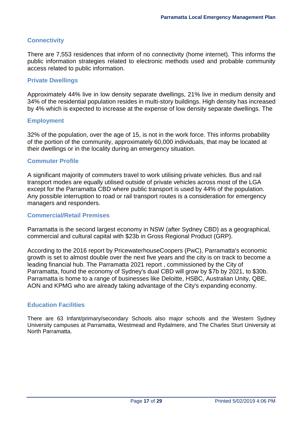## <span id="page-16-0"></span>**Connectivity**

There are 7,553 residences that inform of no connectivity (home internet). This informs the public information strategies related to electronic methods used and probable community access related to public information.

#### <span id="page-16-1"></span>**Private Dwellings**

Approximately 44% live in low density separate dwellings, 21% live in medium density and 34% of the residential population resides in multi-story buildings. High density has increased by 4% which is expected to increase at the expense of low density separate dwellings. The

#### <span id="page-16-2"></span>**Employment**

32% of the population, over the age of 15, is not in the work force. This informs probability of the portion of the community, approximately 60,000 individuals, that may be located at their dwellings or in the locality during an emergency situation.

#### <span id="page-16-3"></span>**Commuter Profile**

A significant majority of commuters travel to work utilising private vehicles. Bus and rail transport modes are equally utilised outside of private vehicles across most of the LGA except for the Parramatta CBD where public transport is used by 44% of the population. Any possible interruption to road or rail transport routes is a consideration for emergency managers and responders.

#### <span id="page-16-4"></span>**Commercial/Retail Premises**

Parramatta is the second largest economy in NSW (after Sydney CBD) as a geographical, commercial and cultural capital with \$23b in Gross Regional Product (GRP).

According to the 2016 report by PricewaterhouseCoopers (PwC), Parramatta's economic growth is set to almost double over the next five years and the city is on track to become a leading financial hub. The [Parramatta 2021](http://www.cityofparramatta.com.au/wp-content/uploads/2016/11/Parramatta-2021-Unlocking-the-potential-of-a-new-economy.pdf?_ga=2.182535142.1303589849.1508149215-2048287276.1446708291) report , commissioned by the City of Parramatta, found the economy of Sydney's dual CBD will grow by \$7b by 2021, to \$30b. Parramatta is home to a range of businesses like Deloitte, HSBC, Australian Unity, QBE, AON and KPMG who are already taking advantage of the City's expanding economy.

## <span id="page-16-5"></span>**Education Facilities**

There are 63 Infant/primary/secondary Schools also major schools and the Western Sydney University campuses at Parramatta, Westmead and Rydalmere, and The Charles Sturt University at North Parramatta.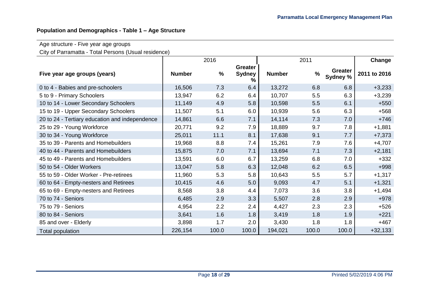# **Population and Demographics - Table 1 – Age Structure**

# Age structure - Five year age groups

City of Parramatta - Total Persons (Usual residence)

|                                                |               | 2016          |                                      | 2011          |               |                     | Change       |
|------------------------------------------------|---------------|---------------|--------------------------------------|---------------|---------------|---------------------|--------------|
| Five year age groups (years)                   | <b>Number</b> | $\frac{0}{0}$ | <b>Greater</b><br><b>Sydney</b><br>% | <b>Number</b> | $\frac{9}{6}$ | Greater<br>Sydney % | 2011 to 2016 |
| 0 to 4 - Babies and pre-schoolers              | 16,506        | 7.3           | 6.4                                  | 13,272        | 6.8           | 6.8                 | $+3,233$     |
| 5 to 9 - Primary Schoolers                     | 13,947        | 6.2           | 6.4                                  | 10,707        | 5.5           | 6.3                 | $+3,239$     |
| 10 to 14 - Lower Secondary Schoolers           | 11,149        | 4.9           | 5.8                                  | 10,598        | 5.5           | 6.1                 | $+550$       |
| 15 to 19 - Upper Secondary Schoolers           | 11,507        | 5.1           | 6.0                                  | 10,939        | 5.6           | 6.3                 | $+568$       |
| 20 to 24 - Tertiary education and independence | 14,861        | 6.6           | 7.1                                  | 14,114        | 7.3           | 7.0                 | $+746$       |
| 25 to 29 - Young Workforce                     | 20,771        | 9.2           | 7.9                                  | 18,889        | 9.7           | 7.8                 | $+1,881$     |
| 30 to 34 - Young Workforce                     | 25,011        | 11.1          | 8.1                                  | 17,638        | 9.1           | 7.7                 | $+7,373$     |
| 35 to 39 - Parents and Homebuilders            | 19,968        | 8.8           | 7.4                                  | 15,261        | 7.9           | 7.6                 | $+4,707$     |
| 40 to 44 - Parents and Homebuilders            | 15,875        | 7.0           | 7.1                                  | 13,694        | 7.1           | 7.3                 | $+2,181$     |
| 45 to 49 - Parents and Homebuilders            | 13,591        | 6.0           | 6.7                                  | 13,259        | 6.8           | 7.0                 | $+332$       |
| 50 to 54 - Older Workers                       | 13,047        | 5.8           | 6.3                                  | 12,048        | 6.2           | 6.5                 | $+998$       |
| 55 to 59 - Older Worker - Pre-retirees         | 11,960        | 5.3           | 5.8                                  | 10,643        | 5.5           | 5.7                 | $+1,317$     |
| 60 to 64 - Empty-nesters and Retirees          | 10,415        | 4.6           | 5.0                                  | 9,093         | 4.7           | 5.1                 | $+1,321$     |
| 65 to 69 - Empty-nesters and Retirees          | 8,568         | 3.8           | 4.4                                  | 7,073         | 3.6           | 3.8                 | $+1,494$     |
| 70 to 74 - Seniors                             | 6,485         | 2.9           | 3.3                                  | 5,507         | 2.8           | 2.9                 | $+978$       |
| 75 to 79 - Seniors                             | 4,954         | 2.2           | 2.4                                  | 4,427         | 2.3           | 2.3                 | $+526$       |
| 80 to 84 - Seniors                             | 3,641         | 1.6           | 1.8                                  | 3,419         | 1.8           | 1.9                 | $+221$       |
| 85 and over - Elderly                          | 3,898         | 1.7           | 2.0                                  | 3,430         | 1.8           | 1.8                 | $+467$       |
| Total population                               | 226,154       | 100.0         | 100.0                                | 194,021       | 100.0         | 100.0               | $+32,133$    |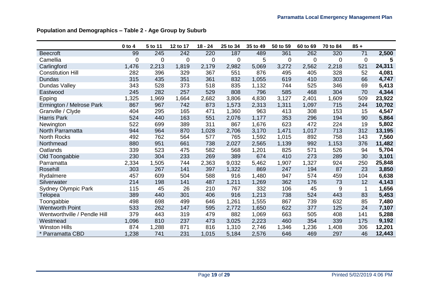|                              | $0$ to $4$  | 5 to 11     | 12 to 17    | $18 - 24$   | 25 to 34         | 35 to 49 | 50 to 59    | 60 to 69 | 70 to 84 | $85 +$      |        |
|------------------------------|-------------|-------------|-------------|-------------|------------------|----------|-------------|----------|----------|-------------|--------|
| <b>Beecroft</b>              | 99          | 245         | 242         | 220         | 187              | 489      | 361         | 262      | 320      | 71          | 2,500  |
| Camellia                     | $\mathbf 0$ | $\mathbf 0$ | $\mathbf 0$ | $\mathbf 0$ | $\boldsymbol{0}$ | 5        | $\mathbf 0$ | 0        | 0        | $\mathbf 0$ | 5      |
| Carlingford                  | 1,476       | 2,213       | 1,819       | 2,179       | 2,982            | 5,069    | 3,272       | 2,562    | 2,218    | 521         | 24,311 |
| <b>Constitution Hill</b>     | 282         | 396         | 329         | 367         | 551              | 876      | 495         | 405      | 328      | 52          | 4,081  |
| Dundas                       | 315         | 435         | 351         | 361         | 832              | 1,055    | 619         | 410      | 303      | 66          | 4,747  |
| Dundas Valley                | 343         | 528         | 373         | 518         | 835              | 1,132    | 744         | 525      | 346      | 69          | 5,413  |
| Eastwood                     | 245         | 282         | 257         | 529         | 808              | 796      | 585         | 468      | 304      | 70          | 4,344  |
| Epping                       | 1,325       | 1,969       | 1,664       | 2,682       | 3,806            | 4,830    | 3,127       | 2,401    | 1,609    | 509         | 23,922 |
| Ermington / Melrose Park     | 867         | 967         | 742         | 873         | 1,573            | 2,313    | 1,311       | 1,097    | 715      | 244         | 10,702 |
| Granville / Clyde            | 404         | 295         | 165         | 471         | 1,360            | 963      | 413         | 308      | 153      | 15          | 4,547  |
| Harris Park                  | 524         | 440         | 163         | 551         | 2,076            | 1,177    | 353         | 296      | 194      | 90          | 5,864  |
| Newington                    | 522         | 699         | 389         | 311         | 867              | 1,676    | 623         | 472      | 224      | 19          | 5,802  |
| North Parramatta             | 944         | 964         | 870         | 1,028       | 2,706            | 3,170    | 1,471       | 1,017    | 713      | 312         | 13,195 |
| <b>North Rocks</b>           | 492         | 762         | 564         | 577         | 765              | 1,592    | 1,015       | 892      | 758      | 143         | 7,560  |
| Northmead                    | 880         | 951         | 661         | 738         | 2,027            | 2,565    | 1,139       | 992      | 1,153    | 376         | 11,482 |
| Oatlands                     | 339         | 523         | 475         | 582         | 568              | 1,201    | 825         | 571      | 526      | 94          | 5,704  |
| Old Toongabbie               | 230         | 304         | 233         | 269         | 389              | 674      | 410         | 273      | 289      | 30          | 3,101  |
| Parramatta                   | 2,334       | 1,505       | 744         | 2,363       | 9,032            | 5,462    | 1,907       | 1,327    | 924      | 250         | 25,848 |
| Rosehill                     | 303         | 267         | 141         | 397         | 1,322            | 869      | 247         | 194      | 87       | 23          | 3,850  |
| Rydalmere                    | 457         | 609         | 504         | 588         | 916              | 1,480    | 947         | 574      | 459      | 104         | 6,638  |
| Silverwater                  | 214         | 198         | 141         | 487         | 1,211            | 1,269    | 362         | 176      | 73       | 12          | 4,143  |
| <b>Sydney Olympic Park</b>   | 115         | 45          | 26          | 210         | 767              | 332      | 106         | 45       | 9        | 1           | 1,656  |
| Telopea                      | 389         | 440         | 301         | 406         | 916              | 1,213    | 738         | 524      | 443      | 83          | 5,453  |
| Toongabbie                   | 498         | 698         | 499         | 646         | 1,261            | 1,555    | 867         | 739      | 632      | 85          | 7,480  |
| <b>Wentworth Point</b>       | 533         | 262         | 147         | 595         | 2,772            | 1,650    | 622         | 377      | 125      | 24          | 7,107  |
| Wentworthville / Pendle Hill | 379         | 443         | 319         | 479         | 882              | 1,069    | 663         | 505      | 408      | 141         | 5,288  |
| Westmead                     | 1,096       | 810         | 237         | 473         | 3,025            | 2,223    | 460         | 354      | 339      | 175         | 9,192  |
| <b>Winston Hills</b>         | 874         | 1,288       | 871         | 816         | 1,310            | 2,746    | 1,346       | 1,236    | 1,408    | 306         | 12,201 |
| * Parramatta CBD             | 1,238       | 741         | 231         | 1,015       | 5,184            | 2,576    | 646         | 469      | 297      | 46          | 12,443 |

# **Population and Demographics – Table 2 - Age Group by Suburb**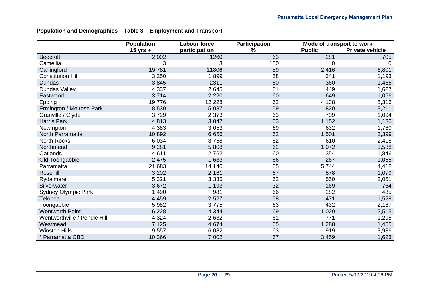# **Population and Demographics – Table 3 – Employment and Transport**

|                              | <b>Population</b> | <b>Labour force</b> | <b>Participation</b> | Mode of transport to work |                        |  |
|------------------------------|-------------------|---------------------|----------------------|---------------------------|------------------------|--|
|                              | $15$ yrs +        | participation       | $\%$                 | <b>Public</b>             | <b>Private vehicle</b> |  |
| <b>Beecroft</b>              | 2,002             | 1260                | 63                   | 281                       | 705                    |  |
| Camellia                     | 3                 | 3                   | 100                  | 0                         | 0                      |  |
| Carlingford                  | 19,781            | 11806               | 59                   | 2,416                     | 6,801                  |  |
| <b>Constitution Hill</b>     | 3,250             | 1,899               | 58                   | 341                       | 1,193                  |  |
| <b>Dundas</b>                | 3,845             | 2311                | 60                   | 360                       | 1,465                  |  |
| Dundas Valley                | 4,337             | 2,645               | 61                   | 449                       | 1,627                  |  |
| Eastwood                     | 3,714             | 2,220               | 60                   | 649                       | 1,066                  |  |
| Epping                       | 19,776            | 12,228              | 62                   | 4,138                     | 5,316                  |  |
| Ermington / Melrose Park     | 8,539             | 5,087               | 59                   | 820                       | 3,211                  |  |
| Granville / Clyde            | 3,729             | 2,373               | 63                   | 709                       | 1,094                  |  |
| <b>Harris Park</b>           | 4,813             | 3,047               | 63                   | 1,152                     | 1,130                  |  |
| Newington                    | 4,383             | 3,053               | 69                   | 632                       | 1,780                  |  |
| North Parramatta             | 10,892            | 6,656               | 62                   | 1,501                     | 3,399                  |  |
| <b>North Rocks</b>           | 6,034             | 3,758               | 62                   | 610                       | 2,418                  |  |
| Northmead                    | 9,281             | 5,808               | 62                   | 1,072                     | 3,588                  |  |
| Oatlands                     | 4,611             | 2,762               | 60                   | 354                       | 1,846                  |  |
| Old Toongabbie               | 2,475             | 1,633               | 66                   | 267                       | 1,055                  |  |
| Parramatta                   | 21,683            | 14,140              | 65                   | 5,744                     | 4,418                  |  |
| Rosehill                     | 3,202             | 2,161               | 67                   | 578                       | 1,079                  |  |
| Rydalmere                    | 5,321             | 3,335               | 62                   | 550                       | 2,051                  |  |
| Silverwater                  | 3,672             | 1,193               | 32                   | 169                       | 764                    |  |
| <b>Sydney Olympic Park</b>   | 1,490             | 981                 | 66                   | 282                       | 485                    |  |
| Telopea                      | 4,459             | 2,527               | 58                   | 471                       | 1,528                  |  |
| Toongabbie                   | 5,982             | 3,775               | 63                   | 432                       | 2,187                  |  |
| <b>Wentworth Point</b>       | 6,228             | 4,344               | 69                   | 1,029                     | 2,515                  |  |
| Wentworthville / Pendle Hill | 4,324             | 2,632               | 61                   | 771                       | 1,295                  |  |
| Westmead                     | 7,125             | 4,674               | 65                   | 1,288                     | 1,455                  |  |
| <b>Winston Hills</b>         | 9,557             | 6,082               | 63                   | 919                       | 3,936                  |  |
| * Parramatta CBD             | 10,366            | 7,002               | 67                   | 3,459                     | 1,623                  |  |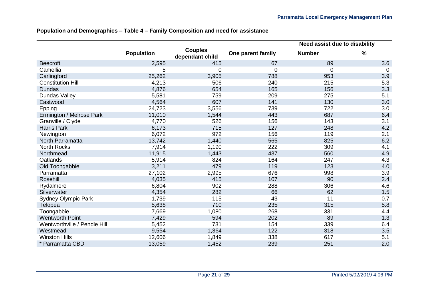|                              |                   |                                   |                   | Need assist due to disability |      |  |  |
|------------------------------|-------------------|-----------------------------------|-------------------|-------------------------------|------|--|--|
|                              | <b>Population</b> | <b>Couples</b><br>dependant child | One parent family | <b>Number</b>                 | $\%$ |  |  |
| <b>Beecroft</b>              | 2,595             | 415                               | 67                | 89                            | 3.6  |  |  |
| Camellia                     | 5                 | 0                                 | $\overline{0}$    | 0                             | 0    |  |  |
| Carlingford                  | 25,262            | 3,905                             | 788               | 953                           | 3.9  |  |  |
| <b>Constitution Hill</b>     | 4,213             | 506                               | 240               | 215                           | 5.3  |  |  |
| <b>Dundas</b>                | 4,876             | 654                               | 165               | 156                           | 3.3  |  |  |
| <b>Dundas Valley</b>         | 5,581             | 759                               | 209               | 275                           | 5.1  |  |  |
| Eastwood                     | 4,564             | 607                               | 141               | 130                           | 3.0  |  |  |
| Epping                       | 24,723            | 3,556                             | 739               | 722                           | 3.0  |  |  |
| Ermington / Melrose Park     | 11,010            | 1,544                             | 443               | 687                           | 6.4  |  |  |
| Granville / Clyde            | 4,770             | 526                               | 156               | 143                           | 3.1  |  |  |
| <b>Harris Park</b>           | 6,173             | 715                               | 127               | 248                           | 4.2  |  |  |
| Newington                    | 6,072             | 972                               | 156               | 119                           | 2.1  |  |  |
| North Parramatta             | 13,742            | 1,440                             | 565               | 825                           | 6.2  |  |  |
| <b>North Rocks</b>           | 7,914             | 1,190                             | 222               | 309                           | 4.1  |  |  |
| Northmead                    | 11,915            | 1,443                             | 437               | 560                           | 4.9  |  |  |
| Oatlands                     | 5,914             | 824                               | 164               | 247                           | 4.3  |  |  |
| Old Toongabbie               | 3,211             | 479                               | 119               | 123                           | 4.0  |  |  |
| Parramatta                   | 27,102            | 2,995                             | 676               | 998                           | 3.9  |  |  |
| Rosehill                     | 4,035             | 415                               | 107               | 90                            | 2.4  |  |  |
| Rydalmere                    | 6,804             | 902                               | 288               | 306                           | 4.6  |  |  |
| Silverwater                  | 4,354             | 282                               | 66                | 62                            | 1.5  |  |  |
| <b>Sydney Olympic Park</b>   | 1,739             | 115                               | 43                | 11                            | 0.7  |  |  |
| Telopea                      | 5,638             | 710                               | 235               | 315                           | 5.8  |  |  |
| Toongabbie                   | 7,669             | 1,080                             | 268               | 331                           | 4.4  |  |  |
| <b>Wentworth Point</b>       | 7,429             | 594                               | 202               | 89                            | 1.3  |  |  |
| Wentworthville / Pendle Hill | 5,452             | 731                               | 154               | 339                           | 6.4  |  |  |
| Westmead                     | 9,554             | 1,364                             | 122               | 318                           | 3.5  |  |  |
| <b>Winston Hills</b>         | 12,606            | 1,849                             | 338               | 617                           | 5.1  |  |  |
| * Parramatta CBD             | 13,059            | 1,452                             | 239               | 251                           | 2.0  |  |  |

# **Population and Demographics – Table 4 – Family Composition and need for assistance**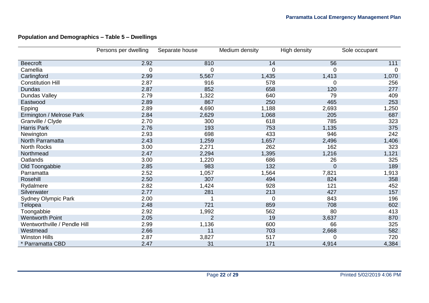# **Population and Demographics – Table 5 – Dwellings**

|                              | Persons per dwelling | Separate house | Medium density | High density   | Sole occupant |
|------------------------------|----------------------|----------------|----------------|----------------|---------------|
| <b>Beecroft</b>              | 2.92                 | 810            | 14             | 56             | 111           |
| Camellia                     | 0                    | 0              | 0              | 0              | $\Omega$      |
| Carlingford                  | 2.99                 | 5,567          | 1,435          | 1,413          | 1,070         |
| <b>Constitution Hill</b>     | 2.87                 | 916            | 578            | $\Omega$       | 256           |
| <b>Dundas</b>                | 2.87                 | 852            | 658            | 120            | 277           |
| Dundas Valley                | 2.79                 | 1,322          | 640            | 79             | 409           |
| Eastwood                     | 2.89                 | 867            | 250            | 465            | 253           |
| Epping                       | 2.89                 | 4,690          | 1,188          | 2,693          | 1,250         |
| Ermington / Melrose Park     | 2.84                 | 2,629          | 1,068          | 205            | 687           |
| Granville / Clyde            | 2.70                 | 300            | 618            | 785            | 323           |
| <b>Harris Park</b>           | 2.76                 | 193            | 753            | 1,135          | 375           |
| Newington                    | 2.93                 | 698            | 433            | 946            | 242           |
| North Parramatta             | 2.43                 | 1,259          | 1,657          | 2,496          | 1,406         |
| North Rocks                  | 3.00                 | 2,271          | 262            | 162            | 323           |
| Northmead                    | 2.47                 | 2,294          | 1,395          | 1,216          | 1,121         |
| Oatlands                     | 3.00                 | 1,220          | 686            | 26             | 325           |
| Old Toongabbie               | 2.85                 | 983            | 132            | $\overline{0}$ | 189           |
| Parramatta                   | 2.52                 | 1,057          | 1,564          | 7,821          | 1,913         |
| Rosehill                     | 2.50                 | 307            | 494            | 824            | 358           |
| Rydalmere                    | 2.82                 | 1,424          | 928            | 121            | 452           |
| Silverwater                  | 2.77                 | 281            | 213            | 427            | 157           |
| <b>Sydney Olympic Park</b>   | 2.00                 |                | $\overline{0}$ | 843            | 196           |
| Telopea                      | 2.48                 | 721            | 859            | 708            | 602           |
| Toongabbie                   | 2.92                 | 1,992          | 562            | 80             | 413           |
| <b>Wentworth Point</b>       | 2.05                 | $\overline{2}$ | 19             | 3,637          | 870           |
| Wentworthville / Pendle Hill | 2.99                 | 1,136          | 600            | 66             | 325           |
| Westmead                     | 2.66                 | 11             | 703            | 2,668          | 582           |
| <b>Winston Hills</b>         | 2.87                 | 3,827          | 517            |                | 720           |
| * Parramatta CBD             | 2.47                 | 31             | 171            | 4,914          | 4,384         |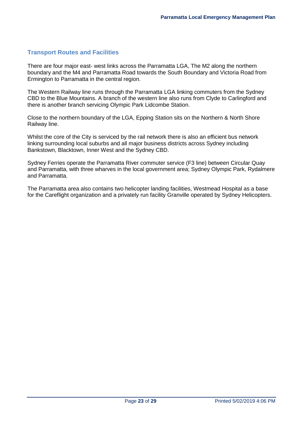#### <span id="page-22-0"></span>**Transport Routes and Facilities**

There are four major east- west links across the Parramatta LGA, The M2 along the northern boundary and the M4 and Parramatta Road towards the South Boundary and Victoria Road from Ermington to Parramatta in the central region.

The Western Railway line runs through the Parramatta LGA linking commuters from the Sydney CBD to the Blue Mountains. A branch of the western line also runs from Clyde to Carlingford and there is another branch servicing Olympic Park Lidcombe Station.

Close to the northern boundary of the LGA, Epping Station sits on the Northern & North Shore Railway line.

Whilst the core of the City is serviced by the rail network there is also an efficient bus network linking surrounding local suburbs and all major business districts across Sydney including Bankstown, Blacktown, Inner West and the Sydney CBD.

Sydney Ferries operate the Parramatta River commuter service (F3 line) between Circular Quay and Parramatta, with three wharves in the local government area; Sydney Olympic Park, Rydalmere and Parramatta.

The Parramatta area also contains two helicopter landing facilities, Westmead Hospital as a base for the Careflight organization and a privately run facility Granville operated by Sydney Helicopters.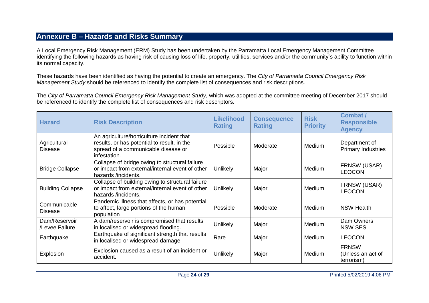# **Annexure B – Hazards and Risks Summary**

A Local Emergency Risk Management (ERM) Study has been undertaken by the Parramatta Local Emergency Management Committee identifying the following hazards as having risk of causing loss of life, property, utilities, services and/or the community's ability to function within its normal capacity.

These hazards have been identified as having the potential to create an emergency. The *City of Parramatta Council Emergency Risk Management Study* should be referenced to identify the complete list of consequences and risk descriptions.

The *City of Parramatta Council Emergency Risk Management Study*, which was adopted at the committee meeting of December 2017 should be referenced to identify the complete list of consequences and risk descriptors.

<span id="page-23-0"></span>

| <b>Hazard</b>                   | <b>Risk Description</b>                                                                                                                         | <b>Likelihood</b><br><b>Rating</b> | <b>Consequence</b><br><b>Rating</b> | <b>Risk</b><br><b>Priority</b> | <b>Combat /</b><br><b>Responsible</b><br><b>Agency</b> |
|---------------------------------|-------------------------------------------------------------------------------------------------------------------------------------------------|------------------------------------|-------------------------------------|--------------------------------|--------------------------------------------------------|
| Agricultural<br><b>Disease</b>  | An agriculture/horticulture incident that<br>results, or has potential to result, in the<br>spread of a communicable disease or<br>infestation. | Possible                           | Moderate                            | <b>Medium</b>                  | Department of<br><b>Primary Industries</b>             |
| <b>Bridge Collapse</b>          | Collapse of bridge owing to structural failure<br>or impact from external/internal event of other<br>hazards /incidents.                        | <b>Unlikely</b>                    | Major                               | Medium                         | FRNSW (USAR)<br><b>LEOCON</b>                          |
| <b>Building Collapse</b>        | Collapse of building owing to structural failure<br>or impact from external/internal event of other<br>hazards /incidents.                      | <b>Unlikely</b>                    | Major                               | <b>Medium</b>                  | FRNSW (USAR)<br><b>LEOCON</b>                          |
| Communicable<br><b>Disease</b>  | Pandemic illness that affects, or has potential<br>to affect, large portions of the human<br>population                                         | Possible                           | Moderate                            | <b>Medium</b>                  | <b>NSW Health</b>                                      |
| Dam/Reservoir<br>/Levee Failure | A dam/reservoir is compromised that results<br>in localised or widespread flooding.                                                             | <b>Unlikely</b>                    | Major                               | Medium                         | Dam Owners<br><b>NSW SES</b>                           |
| Earthquake                      | Earthquake of significant strength that results<br>in localised or widespread damage.                                                           | Rare                               | Major                               | Medium                         | <b>LEOCON</b>                                          |
| Explosion                       | Explosion caused as a result of an incident or<br>accident.                                                                                     | Unlikely                           | Major                               | Medium                         | <b>FRNSW</b><br>(Unless an act of<br>terrorism)        |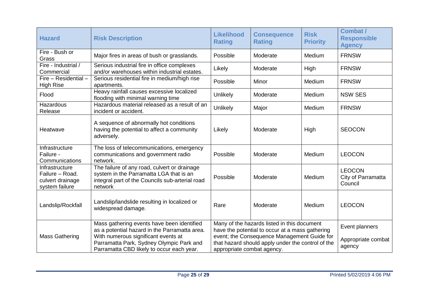| <b>Hazard</b>                                                           | <b>Risk Description</b>                                                                                                                               | <b>Likelihood</b><br><b>Rating</b>                                                                                             | <b>Consequence</b><br><b>Rating</b> | <b>Risk</b><br><b>Priority</b> | Combat /<br><b>Responsible</b><br><b>Agency</b> |
|-------------------------------------------------------------------------|-------------------------------------------------------------------------------------------------------------------------------------------------------|--------------------------------------------------------------------------------------------------------------------------------|-------------------------------------|--------------------------------|-------------------------------------------------|
| Fire - Bush or<br>Grass                                                 | Major fires in areas of bush or grasslands.                                                                                                           | Possible                                                                                                                       | Moderate                            | Medium                         | <b>FRNSW</b>                                    |
| Fire - Industrial /<br>Commercial                                       | Serious industrial fire in office complexes<br>and/or warehouses within industrial estates.                                                           | Likely                                                                                                                         | Moderate                            | High                           | <b>FRNSW</b>                                    |
| Fire - Residential -<br><b>High Rise</b>                                | Serious residential fire in medium/high rise<br>apartments.                                                                                           | Possible                                                                                                                       | Minor                               | Medium                         | <b>FRNSW</b>                                    |
| Flood                                                                   | Heavy rainfall causes excessive localized<br>flooding with minimal warning time                                                                       | Unlikely                                                                                                                       | Moderate                            | Medium                         | <b>NSW SES</b>                                  |
| <b>Hazardous</b><br>Release                                             | Hazardous material released as a result of an<br>incident or accident.                                                                                | Unlikely                                                                                                                       | Major                               | Medium                         | <b>FRNSW</b>                                    |
| Heatwave                                                                | A sequence of abnormally hot conditions<br>having the potential to affect a community<br>adversely.                                                   | Likely                                                                                                                         | Moderate                            | High                           | <b>SEOCON</b>                                   |
| Infrastructure<br>Failure -<br>Communications                           | The loss of telecommunications, emergency<br>communications and government radio<br>network.                                                          | Possible                                                                                                                       | Moderate                            | Medium                         | <b>LEOCON</b>                                   |
| Infrastructure<br>Failure - Road.<br>culvert drainage<br>system failure | The failure of any road, culvert or drainage<br>system in the Parramatta LGA that is an<br>integral part of the Councils sub-arterial road<br>network | Possible                                                                                                                       | Moderate                            | Medium                         | <b>LEOCON</b><br>City of Parramatta<br>Council  |
| Landslip/Rockfall                                                       | Landslip/landslide resulting in localized or<br>widespread damage.                                                                                    | Rare                                                                                                                           | Moderate                            | Medium                         | <b>LEOCON</b>                                   |
|                                                                         | Mass gathering events have been identified<br>as a potential hazard in the Parramatta area.                                                           | Many of the hazards listed in this document<br>have the potential to occur at a mass gathering                                 | Event planners                      |                                |                                                 |
| <b>Mass Gathering</b>                                                   | With numerous significant events at<br>Parramatta Park, Sydney Olympic Park and<br>Parramatta CBD likely to occur each year.                          | event; the Consequence Management Guide for<br>that hazard should apply under the control of the<br>appropriate combat agency. | Appropriate combat<br>agency        |                                |                                                 |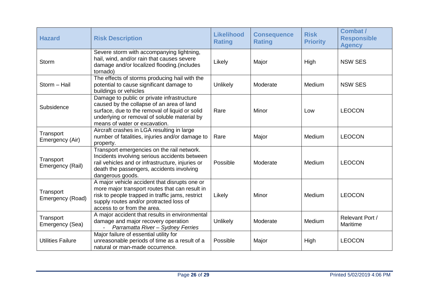| <b>Hazard</b>                 | <b>Risk Description</b>                                                                                                                                                                                                       | <b>Likelihood</b><br><b>Rating</b> | <b>Consequence</b><br><b>Rating</b> | <b>Risk</b><br><b>Priority</b> | <b>Combat /</b><br><b>Responsible</b><br><b>Agency</b> |
|-------------------------------|-------------------------------------------------------------------------------------------------------------------------------------------------------------------------------------------------------------------------------|------------------------------------|-------------------------------------|--------------------------------|--------------------------------------------------------|
| <b>Storm</b>                  | Severe storm with accompanying lightning,<br>hail, wind, and/or rain that causes severe<br>damage and/or localized flooding.(includes<br>tornado)                                                                             | Likely                             | Major                               | High                           | <b>NSW SES</b>                                         |
| Storm - Hail                  | The effects of storms producing hail with the<br>potential to cause significant damage to<br>buildings or vehicles                                                                                                            | Unlikely                           | Moderate                            | Medium                         | <b>NSW SES</b>                                         |
| Subsidence                    | Damage to public or private infrastructure<br>caused by the collapse of an area of land<br>surface, due to the removal of liquid or solid<br>underlying or removal of soluble material by<br>means of water or excavation.    | Rare                               | Minor                               | Low                            | <b>LEOCON</b>                                          |
| Transport<br>Emergency (Air)  | Aircraft crashes in LGA resulting in large<br>number of fatalities, injuries and/or damage to<br>property.                                                                                                                    | Rare                               | Major                               | Medium                         | <b>LEOCON</b>                                          |
| Transport<br>Emergency (Rail) | Transport emergencies on the rail network.<br>Incidents involving serious accidents between<br>rail vehicles and or infrastructure, injuries or<br>death the passengers, accidents involving<br>dangerous goods.              | Possible                           | Moderate                            | Medium                         | <b>LEOCON</b>                                          |
| Transport<br>Emergency (Road) | A major vehicle accident that disrupts one or<br>more major transport routes that can result in<br>risk to people trapped in traffic jams, restrict<br>supply routes and/or protracted loss of<br>access to or from the area. | Likely                             | Minor                               | Medium                         | <b>LEOCON</b>                                          |
| Transport<br>Emergency (Sea)  | A major accident that results in environmental<br>damage and major recovery operation<br>Parramatta River - Sydney Ferries                                                                                                    | Unlikely                           | Moderate                            | Medium                         | Relevant Port /<br>Maritime                            |
| <b>Utilities Failure</b>      | Major failure of essential utility for<br>unreasonable periods of time as a result of a<br>natural or man-made occurrence.                                                                                                    | Possible                           | Major                               | High                           | <b>LEOCON</b>                                          |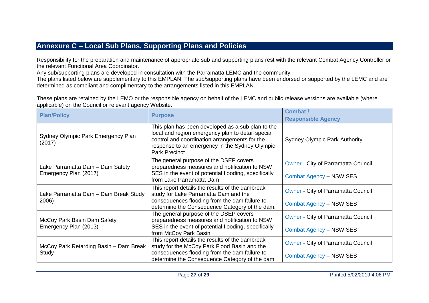# **Annexure C – Local Sub Plans, Supporting Plans and Policies**

Responsibility for the preparation and maintenance of appropriate sub and supporting plans rest with the relevant Combat Agency Controller or the relevant Functional Area Coordinator.

Any sub/supporting plans are developed in consultation with the Parramatta LEMC and the community.

The plans listed below are supplementary to this EMPLAN. The sub/supporting plans have been endorsed or supported by the LEMC and are determined as compliant and complimentary to the arrangements listed in this EMPLAN.

These plans are retained by the LEMO or the responsible agency on behalf of the LEMC and public release versions are available (where applicable) on the Council or relevant agency Website.

<span id="page-26-0"></span>

| <b>Plan/Policy</b>                                        | <b>Purpose</b>                                                                                                                                                                                                                    | <b>Combat /</b>                                                             |
|-----------------------------------------------------------|-----------------------------------------------------------------------------------------------------------------------------------------------------------------------------------------------------------------------------------|-----------------------------------------------------------------------------|
|                                                           |                                                                                                                                                                                                                                   | <b>Responsible Agency</b>                                                   |
| Sydney Olympic Park Emergency Plan<br>(2017)              | This plan has been developed as a sub plan to the<br>local and region emergency plan to detail special<br>control and coordination arrangements for the<br>response to an emergency in the Sydney Olympic<br><b>Park Precinct</b> | <b>Sydney Olympic Park Authority</b>                                        |
| Lake Parramatta Dam - Dam Safety<br>Emergency Plan (2017) | The general purpose of the DSEP covers<br>preparedness measures and notification to NSW<br>SES in the event of potential flooding, specifically<br>from Lake Parramatta Dam                                                       | <b>Owner - City of Parramatta Council</b><br><b>Combat Agency - NSW SES</b> |
| Lake Parramatta Dam - Dam Break Study<br>2006)            | This report details the results of the dambreak<br>study for Lake Parramatta Dam and the<br>consequences flooding from the dam failure to<br>determine the Consequence Category of the dam.                                       | <b>Owner - City of Parramatta Council</b><br><b>Combat Agency - NSW SES</b> |
| McCoy Park Basin Dam Safety<br>Emergency Plan (2013)      | The general purpose of the DSEP covers<br>preparedness measures and notification to NSW<br>SES in the event of potential flooding, specifically<br>from McCoy Park Basin                                                          | <b>Owner - City of Parramatta Council</b><br><b>Combat Agency - NSW SES</b> |
| McCoy Park Retarding Basin - Dam Break<br>Study           | This report details the results of the dambreak<br>study for the McCoy Park Flood Basin and the<br>consequences flooding from the dam failure to<br>determine the Consequence Category of the dam                                 | <b>Owner - City of Parramatta Council</b><br>Combat Agency - NSW SES        |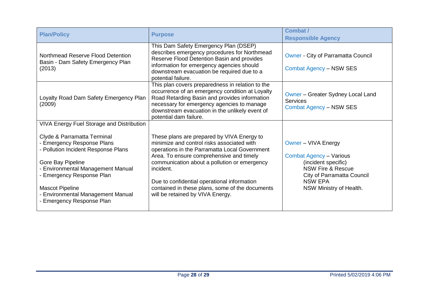| <b>Plan/Policy</b>                                                                                                                                                                                                                                                                  | <b>Purpose</b>                                                                                                                                                                                                                                                                                                                                                                           | Combat /<br><b>Responsible Agency</b>                                                                                                                                                   |
|-------------------------------------------------------------------------------------------------------------------------------------------------------------------------------------------------------------------------------------------------------------------------------------|------------------------------------------------------------------------------------------------------------------------------------------------------------------------------------------------------------------------------------------------------------------------------------------------------------------------------------------------------------------------------------------|-----------------------------------------------------------------------------------------------------------------------------------------------------------------------------------------|
| Northmead Reserve Flood Detention<br>Basin - Dam Safety Emergency Plan<br>(2013)                                                                                                                                                                                                    | This Dam Safety Emergency Plan (DSEP)<br>describes emergency procedures for Northmead<br>Reserve Flood Detention Basin and provides<br>information for emergency agencies should<br>downstream evacuation be required due to a<br>potential failure.                                                                                                                                     | <b>Owner - City of Parramatta Council</b><br><b>Combat Agency - NSW SES</b>                                                                                                             |
| Loyalty Road Dam Safety Emergency Plan<br>(2009)                                                                                                                                                                                                                                    | This plan covers preparedness in relation to the<br>occurrence of an emergency condition at Loyalty<br>Road Retarding Basin and provides information<br>necessary for emergency agencies to manage<br>downstream evacuation in the unlikely event of<br>potential dam failure.                                                                                                           | Owner – Greater Sydney Local Land<br><b>Services</b><br><b>Combat Agency - NSW SES</b>                                                                                                  |
| <b>VIVA Energy Fuel Storage and Distribution</b>                                                                                                                                                                                                                                    |                                                                                                                                                                                                                                                                                                                                                                                          |                                                                                                                                                                                         |
| Clyde & Parramatta Terminal<br>- Emergency Response Plans<br>- Pollution Incident Response Plans<br>Gore Bay Pipeline<br>- Environmental Management Manual<br>- Emergency Response Plan<br><b>Mascot Pipeline</b><br>- Environmental Management Manual<br>- Emergency Response Plan | These plans are prepared by VIVA Energy to<br>minimize and control risks associated with<br>operations in the Parramatta Local Government<br>Area. To ensure comprehensive and timely<br>communication about a pollution or emergency<br>incident.<br>Due to confidential operational information<br>contained in these plans, some of the documents<br>will be retained by VIVA Energy. | Owner - VIVA Energy<br><b>Combat Agency - Various</b><br>(incident specific)<br><b>NSW Fire &amp; Rescue</b><br>City of Parramatta Council<br><b>NSW EPA</b><br>NSW Ministry of Health. |